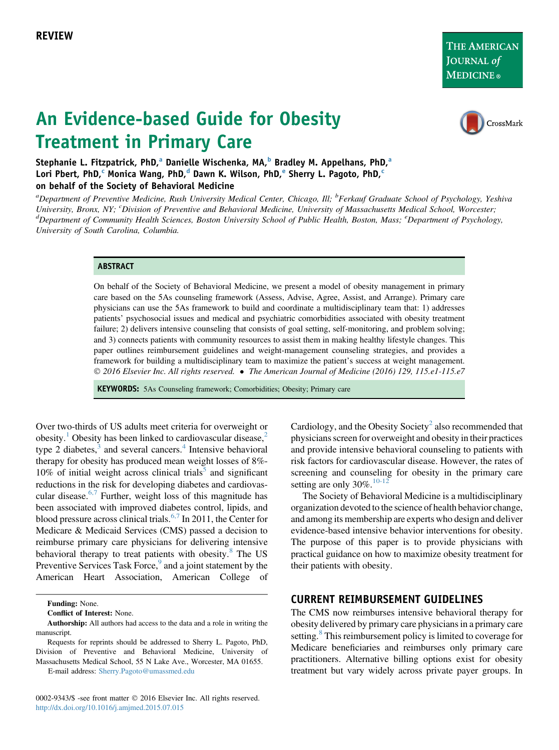THE AMERICAN JOURNAL of **MEDICINE**®

# An Evidence-based Guide for Obesity Treatment in Primary Care



Stephanie L. Fitzpatrick, PhD,<sup>a</sup> Danielle Wischenka, MA,<sup>b</sup> Bradley M. Appelhans, PhD,<sup>a</sup> Lori Pbert, PhD,<sup>c</sup> Monica Wang, PhD,<sup>d</sup> Dawn K. Wilson, PhD,<sup>e</sup> Sherry L. Pagoto, PhD,<sup>c</sup> on behalf of the Society of Behavioral Medicine

<sup>a</sup>Department of Preventive Medicine, Rush University Medical Center, Chicago, Ill; <sup>b</sup>Ferkauf Graduate School of Psychology, Yeshiva University, Bronx, NY; <sup>c</sup>Division of Preventive and Behavioral Medicine, University of Massachusetts Medical School, Worcester;<br><sup>d</sup>Department of Community Health Sciences, Boston University School of Public Health, Boston Department of Community Health Sciences, Boston University School of Public Health, Boston, Mass; <sup>e</sup>Department of Psychology, University of South Carolina, Columbia.

#### **ABSTRACT**

On behalf of the Society of Behavioral Medicine, we present a model of obesity management in primary care based on the 5As counseling framework (Assess, Advise, Agree, Assist, and Arrange). Primary care physicians can use the 5As framework to build and coordinate a multidisciplinary team that: 1) addresses patients' psychosocial issues and medical and psychiatric comorbidities associated with obesity treatment failure; 2) delivers intensive counseling that consists of goal setting, self-monitoring, and problem solving; and 3) connects patients with community resources to assist them in making healthy lifestyle changes. This paper outlines reimbursement guidelines and weight-management counseling strategies, and provides a framework for building a multidisciplinary team to maximize the patient's success at weight management. 2016 Elsevier Inc. All rights reserved. The American Journal of Medicine (2016) 129, 115.e1-115.e7

KEYWORDS: 5As Counseling framework; Comorbidities; Obesity; Primary care

Over two-thirds of US adults meet criteria for overweight or obesity.<sup>[1](#page-4-0)</sup> Obesity has been linked to cardiovascular disease,<sup>[2](#page-4-0)</sup> type 2 diabetes, $3$  and several cancers.<sup>[4](#page-5-0)</sup> Intensive behavioral therapy for obesity has produced mean weight losses of 8%-  $10\%$  of initial weight across clinical trials<sup>[5](#page-5-0)</sup> and significant reductions in the risk for developing diabetes and cardiovascular disease. $6.7$  Further, weight loss of this magnitude has been associated with improved diabetes control, lipids, and blood pressure across clinical trials.<sup>[6,7](#page-5-0)</sup> In 2011, the Center for Medicare & Medicaid Services (CMS) passed a decision to reimburse primary care physicians for delivering intensive behavioral therapy to treat patients with obesity.<sup>[8](#page-5-0)</sup> The US Preventive Services Task Force,<sup>[9](#page-5-0)</sup> and a joint statement by the American Heart Association, American College of

Funding: None.

Conflict of Interest: None.

E-mail address: [Sherry.Pagoto@umassmed.edu](mailto:Sherry.Pagoto@umassmed.edu)

0002-9343/\$ -see front matter © 2016 Elsevier Inc. All rights reserved. <http://dx.doi.org/10.1016/j.amjmed.2015.07.015>

Cardiology, and the Obesity Society<sup>[2](#page-4-0)</sup> also recommended that physicians screen for overweight and obesity in their practices and provide intensive behavioral counseling to patients with risk factors for cardiovascular disease. However, the rates of screening and counseling for obesity in the primary care setting are only  $30\%$ .<sup>[10-12](#page-5-0)</sup>

The Society of Behavioral Medicine is a multidisciplinary organization devoted to the science of health behavior change, and among its membership are experts who design and deliver evidence-based intensive behavior interventions for obesity. The purpose of this paper is to provide physicians with practical guidance on how to maximize obesity treatment for their patients with obesity.

#### CURRENT REIMBURSEMENT GUIDELINES

The CMS now reimburses intensive behavioral therapy for obesity delivered by primary care physicians in a primary care setting.<sup>[8](#page-5-0)</sup> This reimbursement policy is limited to coverage for Medicare beneficiaries and reimburses only primary care practitioners. Alternative billing options exist for obesity treatment but vary widely across private payer groups. In

Authorship: All authors had access to the data and a role in writing the manuscript.

Requests for reprints should be addressed to Sherry L. Pagoto, PhD, Division of Preventive and Behavioral Medicine, University of Massachusetts Medical School, 55 N Lake Ave., Worcester, MA 01655.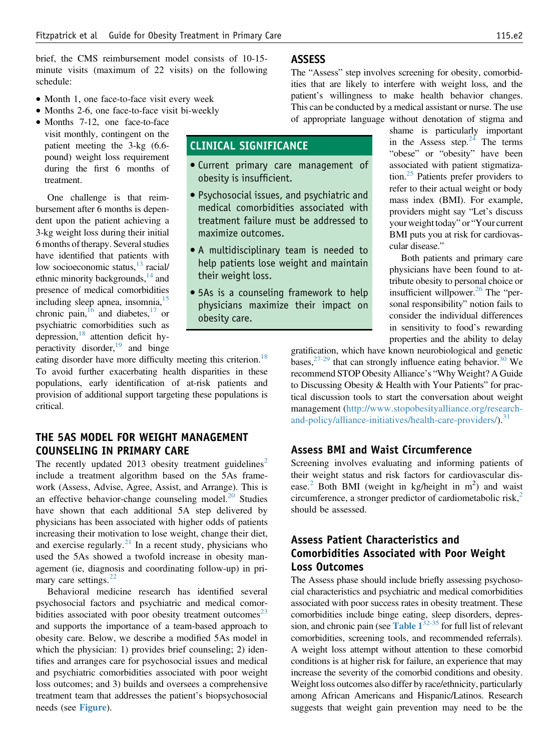brief, the CMS reimbursement model consists of 10-15 minute visits (maximum of 22 visits) on the following schedule:

- Month 1, one face-to-face visit every week
- Months 2-6, one face-to-face visit bi-weekly
- Months 7-12, one face-to-face visit monthly, contingent on the patient meeting the 3-kg (6.6 pound) weight loss requirement during the first 6 months of treatment.

One challenge is that reimbursement after 6 months is dependent upon the patient achieving a 3-kg weight loss during their initial 6 months of therapy. Several studies have identified that patients with low socioeconomic status, $13$  racial/ ethnic minority backgrounds,  $^{14}$  $^{14}$  $^{14}$  and presence of medical comorbidities including sleep apnea, insomnia, $15$ chronic pain,  $^{16}$  $^{16}$  $^{16}$  and diabetes,  $^{17}$  or psychiatric comorbidities such as depression,  $18$  attention deficit hyperactivity disorder, $19$  and binge

eating disorder have more difficulty meeting this criterion.<sup>[18](#page-5-0)</sup> To avoid further exacerbating health disparities in these populations, early identification of at-risk patients and provision of additional support targeting these populations is critical.

# THE 5AS MODEL FOR WEIGHT MANAGEMENT COUNSELING IN PRIMARY CARE

The recently updated [2](#page-4-0)013 obesity treatment guidelines<sup>2</sup> include a treatment algorithm based on the 5As framework (Assess, Advise, Agree, Assist, and Arrange). This is an effective behavior-change counseling model. $^{20}$  $^{20}$  $^{20}$  Studies have shown that each additional 5A step delivered by physicians has been associated with higher odds of patients increasing their motivation to lose weight, change their diet, and exercise regularly. $^{21}$  $^{21}$  $^{21}$  In a recent study, physicians who used the 5As showed a twofold increase in obesity management (ie, diagnosis and coordinating follow-up) in pri-mary care settings.<sup>[22](#page-5-0)</sup>

Behavioral medicine research has identified several psychosocial factors and psychiatric and medical comorbidities associated with poor obesity treatment outcomes $^{23}$  $^{23}$  $^{23}$ and supports the importance of a team-based approach to obesity care. Below, we describe a modified 5As model in which the physician: 1) provides brief counseling; 2) identifies and arranges care for psychosocial issues and medical and psychiatric comorbidities associated with poor weight loss outcomes; and 3) builds and oversees a comprehensive treatment team that addresses the patient's biopsychosocial needs (see [Figure](#page-2-0)).

#### ASSESS

CLINICAL SIGNIFICANCE

obesity is insufficient.

maximize outcomes.

their weight loss.

obesity care.

Current primary care management of

 Psychosocial issues, and psychiatric and medical comorbidities associated with treatment failure must be addressed to

 A multidisciplinary team is needed to help patients lose weight and maintain

 5As is a counseling framework to help physicians maximize their impact on

The "Assess" step involves screening for obesity, comorbidities that are likely to interfere with weight loss, and the patient's willingness to make health behavior changes. This can be conducted by a medical assistant or nurse. The use of appropriate language without denotation of stigma and

> shame is particularly important in the Assess step. $24$  The terms "obese" or "obesity" have been associated with patient stigmatization. $25$  Patients prefer providers to refer to their actual weight or body mass index (BMI). For example, providers might say "Let's discuss your weight today" or "Your current BMI puts you at risk for cardiovascular disease."

> Both patients and primary care physicians have been found to attribute obesity to personal choice or insufficient willpower.<sup>26</sup> The "personal responsibility" notion fails to consider the individual differences in sensitivity to food's rewarding properties and the ability to delay

gratification, which have known neurobiological and genetic bases,  $27-29$  that can strongly influence eating behavior.<sup>[30](#page-5-0)</sup> We recommend STOP Obesity Alliance's "Why Weight? A Guide to Discussing Obesity & Health with Your Patients" for practical discussion tools to start the conversation about weight management [\(http://www.stopobesityalliance.org/research](http://www.stopobesityalliance.org/research-and-policy/alliance-initiatives/health-care-providers/)and-policy/alliance-initiatives/health-care-providers/ $\lambda$ <sup>[31](#page-5-0)</sup>

#### Assess BMI and Waist Circumference

Screening involves evaluating and informing patients of their weight status and risk factors for cardiovascular dis-ease.<sup>[2](#page-4-0)</sup> Both BMI (weight in kg/height in  $m<sup>2</sup>$ ) and waist circumference, a stronger predictor of cardiometabolic risk, $2$ should be assessed.

# Assess Patient Characteristics and Comorbidities Associated with Poor Weight Loss Outcomes

The Assess phase should include briefly assessing psychosocial characteristics and psychiatric and medical comorbidities associated with poor success rates in obesity treatment. These comorbidities include binge eating, sleep disorders, depression, and chronic pain (see Table  $1^{32-35}$  $1^{32-35}$  $1^{32-35}$  for full list of relevant comorbidities, screening tools, and recommended referrals). A weight loss attempt without attention to these comorbid conditions is at higher risk for failure, an experience that may increase the severity of the comorbid conditions and obesity. Weight loss outcomes also differ by race/ethnicity, particularly among African Americans and Hispanic/Latinos. Research suggests that weight gain prevention may need to be the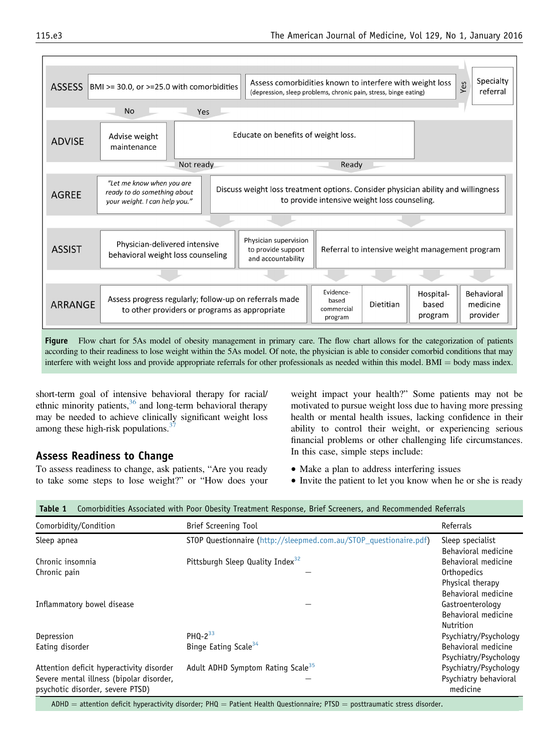<span id="page-2-0"></span>

| <b>ASSESS</b>                                                                                                                                                                                                                                                                          | BMI >= 30.0, or >=25.0 with comorbidities                                                                                                                                                                                      | Assess comorbidities known to interfere with weight loss<br>(depression, sleep problems, chronic pain, stress, binge eating) |                                             |           |                               | Specialty<br>Yes<br>referral              |
|----------------------------------------------------------------------------------------------------------------------------------------------------------------------------------------------------------------------------------------------------------------------------------------|--------------------------------------------------------------------------------------------------------------------------------------------------------------------------------------------------------------------------------|------------------------------------------------------------------------------------------------------------------------------|---------------------------------------------|-----------|-------------------------------|-------------------------------------------|
|                                                                                                                                                                                                                                                                                        | <b>No</b><br>Yes                                                                                                                                                                                                               |                                                                                                                              |                                             |           |                               |                                           |
| Educate on benefits of weight loss.<br>Advise weight<br><b>ADVISE</b><br>maintenance                                                                                                                                                                                                   |                                                                                                                                                                                                                                |                                                                                                                              |                                             |           |                               |                                           |
| Not ready<br>Ready                                                                                                                                                                                                                                                                     |                                                                                                                                                                                                                                |                                                                                                                              |                                             |           |                               |                                           |
| <b>AGREE</b>                                                                                                                                                                                                                                                                           | "Let me know when you are<br>Discuss weight loss treatment options. Consider physician ability and willingness<br>ready to do something about<br>to provide intensive weight loss counseling.<br>vour weight. I can help you." |                                                                                                                              |                                             |           |                               |                                           |
|                                                                                                                                                                                                                                                                                        |                                                                                                                                                                                                                                |                                                                                                                              |                                             |           |                               |                                           |
| <b>ASSIST</b>                                                                                                                                                                                                                                                                          | Physician-delivered intensive<br>behavioral weight loss counseling                                                                                                                                                             | Physician supervision<br>Referral to intensive weight management program<br>to provide support<br>and accountability         |                                             |           |                               |                                           |
|                                                                                                                                                                                                                                                                                        |                                                                                                                                                                                                                                |                                                                                                                              |                                             |           |                               |                                           |
| <b>ARRANGE</b>                                                                                                                                                                                                                                                                         | Assess progress regularly; follow-up on referrals made<br>to other providers or programs as appropriate                                                                                                                        |                                                                                                                              | Evidence-<br>based<br>commercial<br>program | Dietitian | Hospital-<br>based<br>program | <b>Behavioral</b><br>medicine<br>provider |
| <b>Figure</b><br>Flow chart for 5As model of obesity management in primary care. The flow chart allows for the categorization of patients<br>according to their readiness to lose weight within the 5As model. Of note, the physician is able to consider comorbid conditions that may |                                                                                                                                                                                                                                |                                                                                                                              |                                             |           |                               |                                           |

interfere with weight loss and provide appropriate referrals for other professionals as needed within this model. BMI  $=$  body mass index.

short-term goal of intensive behavioral therapy for racial/ ethnic minority patients,  $36$  and long-term behavioral therapy may be needed to achieve clinically significant weight loss among these high-risk populations. $3^3$ 

# Assess Readiness to Change

To assess readiness to change, ask patients, "Are you ready to take some steps to lose weight?" or "How does your

- weight impact your health?" Some patients may not be motivated to pursue weight loss due to having more pressing health or mental health issues, lacking confidence in their ability to control their weight, or experiencing serious financial problems or other challenging life circumstances. In this case, simple steps include:
- Make a plan to address interfering issues
- Invite the patient to let you know when he or she is ready

| Comorbidity/Condition                    | <b>Brief Screening Tool</b>                                       | Referrals             |
|------------------------------------------|-------------------------------------------------------------------|-----------------------|
| Sleep apnea                              | STOP Questionnaire (http://sleepmed.com.au/STOP_questionaire.pdf) | Sleep specialist      |
|                                          |                                                                   | Behavioral medicine   |
| Chronic insomnia                         | Pittsburgh Sleep Quality Index <sup>32</sup>                      | Behavioral medicine   |
| Chronic pain                             |                                                                   | Orthopedics           |
|                                          |                                                                   | Physical therapy      |
|                                          |                                                                   | Behavioral medicine   |
| Inflammatory bowel disease               |                                                                   | Gastroenterology      |
|                                          |                                                                   | Behavioral medicine   |
|                                          |                                                                   | Nutrition             |
| Depression                               | PHQ- $2^{33}$                                                     | Psychiatry/Psychology |
| Eating disorder                          | Binge Eating Scale <sup>34</sup>                                  | Behavioral medicine   |
|                                          |                                                                   | Psychiatry/Psychology |
| Attention deficit hyperactivity disorder | Adult ADHD Symptom Rating Scale <sup>35</sup>                     | Psychiatry/Psychology |
| Severe mental illness (bipolar disorder, |                                                                   | Psychiatry behavioral |
| psychotic disorder, severe PTSD)         |                                                                   | medicine              |

Table 1 Comorbidities Associated with Poor Obesity Treatment Response, Brief Screeners, and Recommended Referrals

 $ADHD =$  attention deficit hyperactivity disorder; PHQ = Patient Health Questionnaire; PTSD = posttraumatic stress disorder.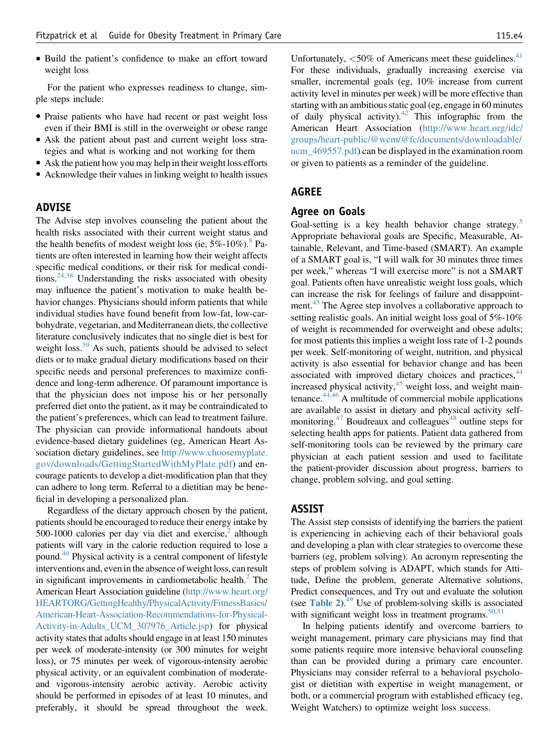Build the patient's confidence to make an effort toward weight loss

For the patient who expresses readiness to change, simple steps include:

- Praise patients who have had recent or past weight loss even if their BMI is still in the overweight or obese range
- Ask the patient about past and current weight loss strategies and what is working and not working for them
- Ask the patient how you may help in their weight loss efforts
- Acknowledge their values in linking weight to health issues

#### ADVISE

The Advise step involves counseling the patient about the health risks associated with their current weight status and the health benefits of modest weight loss (ie,  $5\%$ -10%).<sup>[8](#page-5-0)</sup> Patients are often interested in learning how their weight affects specific medical conditions, or their risk for medical conditions.[24,38](#page-5-0) Understanding the risks associated with obesity may influence the patient's motivation to make health behavior changes. Physicians should inform patients that while individual studies have found benefit from low-fat, low-carbohydrate, vegetarian, and Mediterranean diets, the collective literature conclusively indicates that no single diet is best for weight loss.<sup>[39](#page-5-0)</sup> As such, patients should be advised to select diets or to make gradual dietary modifications based on their specific needs and personal preferences to maximize confidence and long-term adherence. Of paramount importance is that the physician does not impose his or her personally preferred diet onto the patient, as it may be contraindicated to the patient's preferences, which can lead to treatment failure. The physician can provide informational handouts about evidence-based dietary guidelines (eg, American Heart Association dietary guidelines, see [http://www.choosemyplate.](http://www.choosemyplate.gov/downloads/GettingStartedWithMyPlate.pdf) [gov/downloads/GettingStartedWithMyPlate.pdf\)](http://www.choosemyplate.gov/downloads/GettingStartedWithMyPlate.pdf) and encourage patients to develop a diet-modification plan that they can adhere to long term. Referral to a dietitian may be beneficial in developing a personalized plan.

Regardless of the dietary approach chosen by the patient, patients should be encouraged to reduce their energy intake by 500-1000 calories per day via diet and exercise, $^2$  although patients will vary in the calorie reduction required to lose a pound.<sup>40</sup> Physical activity is a central component of lifestyle interventions and, even in the absence of weight loss, can result in significant improvements in cardiometabolic health. $<sup>2</sup>$  $<sup>2</sup>$  $<sup>2</sup>$  The</sup> American Heart Association guideline [\(http://www.heart.org/](http://www.heart.org/HEARTORG/GettingHealthy/PhysicalActivity/FitnessBasics/American-Heart-Association-Recommendations-for-Physical-Activity-in-Adults_UCM_307976_Article.jsp) [HEARTORG/GettingHealthy/PhysicalActivity/FitnessBasics/](http://www.heart.org/HEARTORG/GettingHealthy/PhysicalActivity/FitnessBasics/American-Heart-Association-Recommendations-for-Physical-Activity-in-Adults_UCM_307976_Article.jsp) [American-Heart-Association-Recommendations-for-Physical-](http://www.heart.org/HEARTORG/GettingHealthy/PhysicalActivity/FitnessBasics/American-Heart-Association-Recommendations-for-Physical-Activity-in-Adults_UCM_307976_Article.jsp)[Activity-in-Adults\\_UCM\\_307976\\_Article.jsp\)](http://www.heart.org/HEARTORG/GettingHealthy/PhysicalActivity/FitnessBasics/American-Heart-Association-Recommendations-for-Physical-Activity-in-Adults_UCM_307976_Article.jsp) for physical activity states that adults should engage in at least 150 minutes per week of moderate-intensity (or 300 minutes for weight loss), or 75 minutes per week of vigorous-intensity aerobic physical activity, or an equivalent combination of moderateand vigorous-intensity aerobic activity. Aerobic activity should be performed in episodes of at least 10 minutes, and preferably, it should be spread throughout the week. Unfortunately,  $<$  50% of Americans meet these guidelines.<sup>[41](#page-5-0)</sup> For these individuals, gradually increasing exercise via smaller, incremental goals (eg, 10% increase from current activity level in minutes per week) will be more effective than starting with an ambitious static goal (eg, engage in 60 minutes of daily physical activity).<sup>42</sup> This infographic from the American Heart Association ([http://www.heart.org/idc/](http://www.heart.org/idc/groups/heart-public/@wcm/@fc/documents/downloadable/ucm_469557.pdf) [groups/heart-public/@wcm/@fc/documents/downloadable/](http://www.heart.org/idc/groups/heart-public/@wcm/@fc/documents/downloadable/ucm_469557.pdf) [ucm\\_469557.pdf](http://www.heart.org/idc/groups/heart-public/@wcm/@fc/documents/downloadable/ucm_469557.pdf)) can be displayed in the examination room or given to patients as a reminder of the guideline.

#### AGREE

#### Agree on Goals

Goal-setting is a key health behavior change strategy.<sup>[5](#page-5-0)</sup> Appropriate behavioral goals are Specific, Measurable, Attainable, Relevant, and Time-based (SMART). An example of a SMART goal is, "I will walk for 30 minutes three times per week," whereas "I will exercise more" is not a SMART goal. Patients often have unrealistic weight loss goals, which can increase the risk for feelings of failure and disappoint-ment.<sup>[43](#page-5-0)</sup> The Agree step involves a collaborative approach to setting realistic goals. An initial weight loss goal of 5%-10% of weight is recommended for overweight and obese adults; for most patients this implies a weight loss rate of 1-2 pounds per week. Self-monitoring of weight, nutrition, and physical activity is also essential for behavior change and has been associated with improved dietary choices and practices,<sup>[44](#page-6-0)</sup> increased physical activity, $45$  weight loss, and weight maintenance. $44,46$  A multitude of commercial mobile applications are available to assist in dietary and physical activity self-monitoring.<sup>[47](#page-6-0)</sup> Boudreaux and colleagues<sup>[48](#page-6-0)</sup> outline steps for selecting health apps for patients. Patient data gathered from self-monitoring tools can be reviewed by the primary care physician at each patient session and used to facilitate the patient-provider discussion about progress, barriers to change, problem solving, and goal setting.

#### ASSIST

The Assist step consists of identifying the barriers the patient is experiencing in achieving each of their behavioral goals and developing a plan with clear strategies to overcome these barriers (eg, problem solving). An acronym representing the steps of problem solving is ADAPT, which stands for Attitude, Define the problem, generate Alternative solutions, Predict consequences, and Try out and evaluate the solution (see [Table 2](#page-4-0)). $49$  Use of problem-solving skills is associated with significant weight loss in treatment programs.<sup>50,51</sup>

In helping patients identify and overcome barriers to weight management, primary care physicians may find that some patients require more intensive behavioral counseling than can be provided during a primary care encounter. Physicians may consider referral to a behavioral psychologist or dietitian with expertise in weight management, or both, or a commercial program with established efficacy (eg, Weight Watchers) to optimize weight loss success.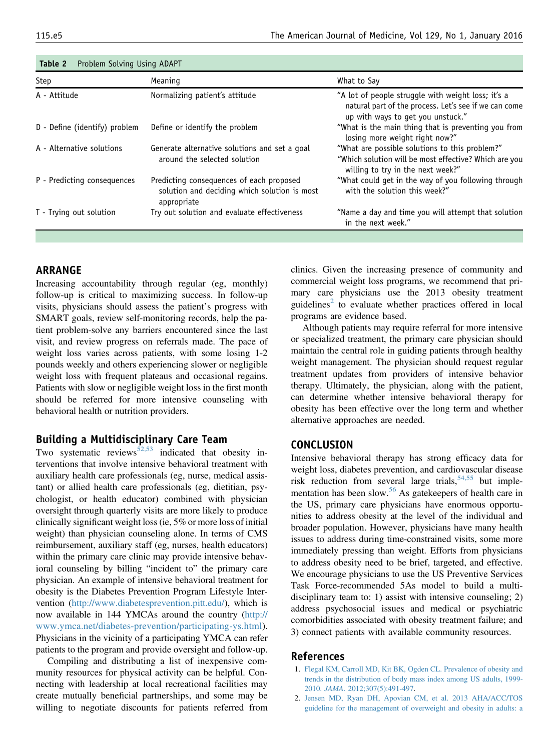| Step                          | Meaning                                                                                                 | What to Say                                                                                                                                      |
|-------------------------------|---------------------------------------------------------------------------------------------------------|--------------------------------------------------------------------------------------------------------------------------------------------------|
| A - Attitude                  | Normalizing patient's attitude                                                                          | "A lot of people struggle with weight loss; it's a<br>natural part of the process. Let's see if we can come<br>up with ways to get you unstuck." |
| D - Define (identify) problem | Define or identify the problem                                                                          | "What is the main thing that is preventing you from<br>losing more weight right now?"                                                            |
| A - Alternative solutions     | Generate alternative solutions and set a goal<br>around the selected solution                           | "What are possible solutions to this problem?"<br>"Which solution will be most effective? Which are you<br>willing to try in the next week?"     |
| P - Predicting consequences   | Predicting consequences of each proposed<br>solution and deciding which solution is most<br>appropriate | "What could get in the way of you following through<br>with the solution this week?"                                                             |
| T - Trying out solution       | Try out solution and evaluate effectiveness                                                             | "Name a day and time you will attempt that solution<br>in the next week."                                                                        |

<span id="page-4-0"></span>

| Table 2 | Problem Solving Using ADAPT |  |  |  |
|---------|-----------------------------|--|--|--|
|---------|-----------------------------|--|--|--|

# ARRANGE

Increasing accountability through regular (eg, monthly) follow-up is critical to maximizing success. In follow-up visits, physicians should assess the patient's progress with SMART goals, review self-monitoring records, help the patient problem-solve any barriers encountered since the last visit, and review progress on referrals made. The pace of weight loss varies across patients, with some losing 1-2 pounds weekly and others experiencing slower or negligible weight loss with frequent plateaus and occasional regains. Patients with slow or negligible weight loss in the first month should be referred for more intensive counseling with behavioral health or nutrition providers.

### Building a Multidisciplinary Care Team

Two systematic reviews<sup>[52,53](#page-6-0)</sup> indicated that obesity interventions that involve intensive behavioral treatment with auxiliary health care professionals (eg, nurse, medical assistant) or allied health care professionals (eg, dietitian, psychologist, or health educator) combined with physician oversight through quarterly visits are more likely to produce clinically significant weight loss (ie, 5% or more loss of initial weight) than physician counseling alone. In terms of CMS reimbursement, auxiliary staff (eg, nurses, health educators) within the primary care clinic may provide intensive behavioral counseling by billing "incident to" the primary care physician. An example of intensive behavioral treatment for obesity is the Diabetes Prevention Program Lifestyle Intervention [\(http://www.diabetesprevention.pitt.edu/](http://www.diabetesprevention.pitt.edu/)), which is now available in 144 YMCAs around the country ([http://](http://www.ymca.net/diabetes-prevention/participating-ys.html) [www.ymca.net/diabetes-prevention/participating-ys.html](http://www.ymca.net/diabetes-prevention/participating-ys.html)). Physicians in the vicinity of a participating YMCA can refer patients to the program and provide oversight and follow-up.

Compiling and distributing a list of inexpensive community resources for physical activity can be helpful. Connecting with leadership at local recreational facilities may create mutually beneficial partnerships, and some may be willing to negotiate discounts for patients referred from clinics. Given the increasing presence of community and commercial weight loss programs, we recommend that primary care physicians use the 2013 obesity treatment guidelines<sup>2</sup> to evaluate whether practices offered in local programs are evidence based.

Although patients may require referral for more intensive or specialized treatment, the primary care physician should maintain the central role in guiding patients through healthy weight management. The physician should request regular treatment updates from providers of intensive behavior therapy. Ultimately, the physician, along with the patient, can determine whether intensive behavioral therapy for obesity has been effective over the long term and whether alternative approaches are needed.

#### CONCLUSION

Intensive behavioral therapy has strong efficacy data for weight loss, diabetes prevention, and cardiovascular disease risk reduction from several large trials,  $54,55$  but imple-mentation has been slow.<sup>[56](#page-6-0)</sup> As gatekeepers of health care in the US, primary care physicians have enormous opportunities to address obesity at the level of the individual and broader population. However, physicians have many health issues to address during time-constrained visits, some more immediately pressing than weight. Efforts from physicians to address obesity need to be brief, targeted, and effective. We encourage physicians to use the US Preventive Services Task Force-recommended 5As model to build a multidisciplinary team to: 1) assist with intensive counseling; 2) address psychosocial issues and medical or psychiatric comorbidities associated with obesity treatment failure; and 3) connect patients with available community resources.

#### References

- 1. [Flegal KM, Carroll MD, Kit BK, Ogden CL. Prevalence of obesity and](http://refhub.elsevier.com/S0002-9343(15)00691-9/sref1) [trends in the distribution of body mass index among US adults, 1999-](http://refhub.elsevier.com/S0002-9343(15)00691-9/sref1) 2010. JAMA[. 2012;307\(5\):491-497](http://refhub.elsevier.com/S0002-9343(15)00691-9/sref1).
- 2. [Jensen MD, Ryan DH, Apovian CM, et al. 2013 AHA/ACC/TOS](http://refhub.elsevier.com/S0002-9343(15)00691-9/sref2) [guideline for the management of overweight and obesity in adults: a](http://refhub.elsevier.com/S0002-9343(15)00691-9/sref2)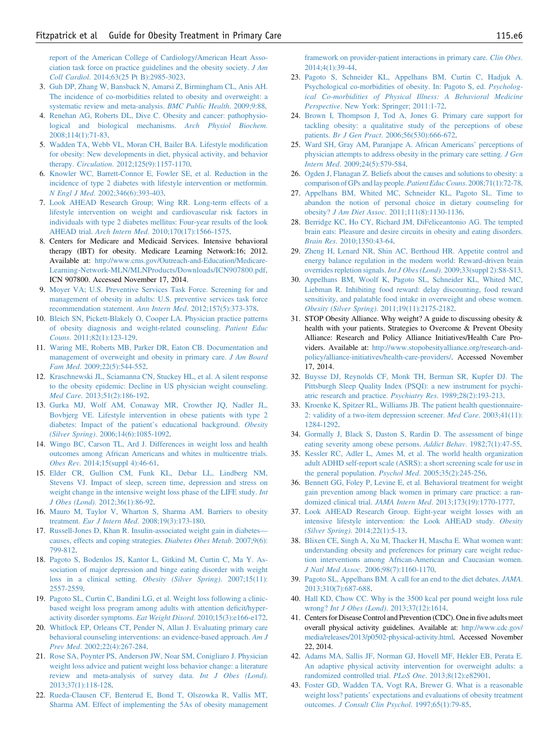<span id="page-5-0"></span>[report of the American College of Cardiology/American Heart Asso](http://refhub.elsevier.com/S0002-9343(15)00691-9/sref2)[ciation task force on practice guidelines and the obesity society.](http://refhub.elsevier.com/S0002-9343(15)00691-9/sref2) J Am Coll Cardiol[. 2014;63\(25 Pt B\):2985-3023](http://refhub.elsevier.com/S0002-9343(15)00691-9/sref2).

- 3. [Guh DP, Zhang W, Bansback N, Amarsi Z, Birmingham CL, Anis AH.](http://refhub.elsevier.com/S0002-9343(15)00691-9/sref3) [The incidence of co-morbidities related to obesity and overweight: a](http://refhub.elsevier.com/S0002-9343(15)00691-9/sref3) [systematic review and meta-analysis.](http://refhub.elsevier.com/S0002-9343(15)00691-9/sref3) BMC Public Health. 2009;9:88.
- 4. [Renehan AG, Roberts DL, Dive C. Obesity and cancer: pathophysio](http://refhub.elsevier.com/S0002-9343(15)00691-9/sref4)[logical and biological mechanisms.](http://refhub.elsevier.com/S0002-9343(15)00691-9/sref4) Arch Physiol Biochem. [2008;114\(1\):71-83.](http://refhub.elsevier.com/S0002-9343(15)00691-9/sref4)
- 5. [Wadden TA, Webb VL, Moran CH, Bailer BA. Lifestyle modi](http://refhub.elsevier.com/S0002-9343(15)00691-9/sref5)fication [for obesity: New developments in diet, physical activity, and behavior](http://refhub.elsevier.com/S0002-9343(15)00691-9/sref5) therapy. Circulation[. 2012;125\(9\):1157-1170.](http://refhub.elsevier.com/S0002-9343(15)00691-9/sref5)
- 6. [Knowler WC, Barrett-Connor E, Fowler SE, et al. Reduction in the](http://refhub.elsevier.com/S0002-9343(15)00691-9/sref6) [incidence of type 2 diabetes with lifestyle intervention or metformin.](http://refhub.elsevier.com/S0002-9343(15)00691-9/sref6) N Engl J Med[. 2002;346\(6\):393-403.](http://refhub.elsevier.com/S0002-9343(15)00691-9/sref6)
- 7. [Look AHEAD Research Group; Wing RR. Long-term effects of a](http://refhub.elsevier.com/S0002-9343(15)00691-9/sref7) [lifestyle intervention on weight and cardiovascular risk factors in](http://refhub.elsevier.com/S0002-9343(15)00691-9/sref7) [individuals with type 2 diabetes mellitus: Four-year results of the look](http://refhub.elsevier.com/S0002-9343(15)00691-9/sref7) AHEAD trial. Arch Intern Med[. 2010;170\(17\):1566-1575](http://refhub.elsevier.com/S0002-9343(15)00691-9/sref7).
- 8. Centers for Medicare and Medicaid Services. Intensive behavioral therapy (IBT) for obesity. Medicare Learning Network:16; 2012. Available at: [http://www.cms.gov/Outreach-and-Education/Medicare-](http://www.cms.gov/Outreach-and-Education/Medicare-Learning-Network-MLN/MLNProducts/Downloads/ICN907800.pdf)[Learning-Network-MLN/MLNProducts/Downloads/ICN907800.pdf.](http://www.cms.gov/Outreach-and-Education/Medicare-Learning-Network-MLN/MLNProducts/Downloads/ICN907800.pdf) ICN 907800. Accessed November 17, 2014.
- 9. [Moyer VA; U.S. Preventive Services Task Force. Screening for and](http://refhub.elsevier.com/S0002-9343(15)00691-9/sref9) [management of obesity in adults: U.S. preventive services task force](http://refhub.elsevier.com/S0002-9343(15)00691-9/sref9) [recommendation statement.](http://refhub.elsevier.com/S0002-9343(15)00691-9/sref9) Ann Intern Med. 2012;157(5):373-378.
- 10. [Bleich SN, Pickett-Blakely O, Cooper LA. Physician practice patterns](http://refhub.elsevier.com/S0002-9343(15)00691-9/sref10) [of obesity diagnosis and weight-related counseling.](http://refhub.elsevier.com/S0002-9343(15)00691-9/sref10) Patient Educ Couns[. 2011;82\(1\):123-129.](http://refhub.elsevier.com/S0002-9343(15)00691-9/sref10)
- 11. [Waring ME, Roberts MB, Parker DR, Eaton CB. Documentation and](http://refhub.elsevier.com/S0002-9343(15)00691-9/sref11) [management of overweight and obesity in primary care.](http://refhub.elsevier.com/S0002-9343(15)00691-9/sref11) J Am Board Fam Med[. 2009;22\(5\):544-552.](http://refhub.elsevier.com/S0002-9343(15)00691-9/sref11)
- 12. [Kraschnewski JL, Sciamanna CN, Stuckey HL, et al. A silent response](http://refhub.elsevier.com/S0002-9343(15)00691-9/sref12) [to the obesity epidemic: Decline in US physician weight counseling.](http://refhub.elsevier.com/S0002-9343(15)00691-9/sref12) Med Care[. 2013;51\(2\):186-192.](http://refhub.elsevier.com/S0002-9343(15)00691-9/sref12)
- 13. [Gurka MJ, Wolf AM, Conaway MR, Crowther JQ, Nadler JL,](http://refhub.elsevier.com/S0002-9343(15)00691-9/sref13) [Bovbjerg VE. Lifestyle intervention in obese patients with type 2](http://refhub.elsevier.com/S0002-9343(15)00691-9/sref13) [diabetes: Impact of the patient](http://refhub.elsevier.com/S0002-9343(15)00691-9/sref13)'s educational background. Obesity (Silver Spring)[. 2006;14\(6\):1085-1092.](http://refhub.elsevier.com/S0002-9343(15)00691-9/sref13)
- 14. [Wingo BC, Carson TL, Ard J. Differences in weight loss and health](http://refhub.elsevier.com/S0002-9343(15)00691-9/sref14) [outcomes among African Americans and whites in multicentre trials.](http://refhub.elsevier.com/S0002-9343(15)00691-9/sref14) Obes Rev[. 2014;15\(suppl 4\):46-61.](http://refhub.elsevier.com/S0002-9343(15)00691-9/sref14)
- 15. [Elder CR, Gullion CM, Funk KL, Debar LL, Lindberg NM,](http://refhub.elsevier.com/S0002-9343(15)00691-9/sref15) [Stevens VJ. Impact of sleep, screen time, depression and stress on](http://refhub.elsevier.com/S0002-9343(15)00691-9/sref15) [weight change in the intensive weight loss phase of the LIFE study.](http://refhub.elsevier.com/S0002-9343(15)00691-9/sref15) Int J Obes (Lond)[. 2012;36\(1\):86-92.](http://refhub.elsevier.com/S0002-9343(15)00691-9/sref15)
- 16. [Mauro M, Taylor V, Wharton S, Sharma AM. Barriers to obesity](http://refhub.elsevier.com/S0002-9343(15)00691-9/sref16) treatment. Eur J Intern Med[. 2008;19\(3\):173-180.](http://refhub.elsevier.com/S0002-9343(15)00691-9/sref16)
- 17. [Russell-Jones D, Khan R. Insulin-associated weight gain in diabetes](http://refhub.elsevier.com/S0002-9343(15)00691-9/sref17) [causes, effects and coping strategies.](http://refhub.elsevier.com/S0002-9343(15)00691-9/sref17) Diabetes Obes Metab. 2007;9(6): [799-812.](http://refhub.elsevier.com/S0002-9343(15)00691-9/sref17)
- 18. [Pagoto S, Bodenlos JS, Kantor L, Gitkind M, Curtin C, Ma Y. As](http://refhub.elsevier.com/S0002-9343(15)00691-9/sref18)[sociation of major depression and binge eating disorder with weight](http://refhub.elsevier.com/S0002-9343(15)00691-9/sref18) [loss in a clinical setting.](http://refhub.elsevier.com/S0002-9343(15)00691-9/sref18) Obesity (Silver Spring). 2007;15(11): [2557-2559](http://refhub.elsevier.com/S0002-9343(15)00691-9/sref18).
- 19. [Pagoto SL, Curtin C, Bandini LG, et al. Weight loss following a clinic](http://refhub.elsevier.com/S0002-9343(15)00691-9/sref19)[based weight loss program among adults with attention de](http://refhub.elsevier.com/S0002-9343(15)00691-9/sref19)ficit/hyper[activity disorder symptoms.](http://refhub.elsevier.com/S0002-9343(15)00691-9/sref19) Eat Weight Disord. 2010;15(3):e166-e172.
- 20. [Whitlock EP, Orleans CT, Pender N, Allan J. Evaluating primary care](http://refhub.elsevier.com/S0002-9343(15)00691-9/sref20) [behavioral counseling interventions: an evidence-based approach.](http://refhub.elsevier.com/S0002-9343(15)00691-9/sref20) Am J Prev Med[. 2002;22\(4\):267-284.](http://refhub.elsevier.com/S0002-9343(15)00691-9/sref20)
- 21. [Rose SA, Poynter PS, Anderson JW, Noar SM, Conigliaro J. Physician](http://refhub.elsevier.com/S0002-9343(15)00691-9/sref21) [weight loss advice and patient weight loss behavior change: a literature](http://refhub.elsevier.com/S0002-9343(15)00691-9/sref21) [review and meta-analysis of survey data.](http://refhub.elsevier.com/S0002-9343(15)00691-9/sref21) Int J Obes (Lond). [2013;37\(1\):118-128.](http://refhub.elsevier.com/S0002-9343(15)00691-9/sref21)
- 22. [Rueda-Clausen CF, Benterud E, Bond T, Olszowka R, Vallis MT,](http://refhub.elsevier.com/S0002-9343(15)00691-9/sref22) [Sharma AM. Effect of implementing the 5As of obesity management](http://refhub.elsevier.com/S0002-9343(15)00691-9/sref22)

[framework on provider-patient interactions in primary care.](http://refhub.elsevier.com/S0002-9343(15)00691-9/sref22) Clin Obes. [2014;4\(1\):39-44.](http://refhub.elsevier.com/S0002-9343(15)00691-9/sref22)

- 23. [Pagoto S, Schneider KL, Appelhans BM, Curtin C, Hadjuk A.](http://refhub.elsevier.com/S0002-9343(15)00691-9/sref23) [Psychological co-morbidities of obesity. In: Pagoto S, ed.](http://refhub.elsevier.com/S0002-9343(15)00691-9/sref23) Psycholog[ical Co-morbidities of Physical Illness: A Behavioral Medicine](http://refhub.elsevier.com/S0002-9343(15)00691-9/sref23) Perspective[. New York: Springer; 2011:1-72](http://refhub.elsevier.com/S0002-9343(15)00691-9/sref23).
- 24. [Brown I, Thompson J, Tod A, Jones G. Primary care support for](http://refhub.elsevier.com/S0002-9343(15)00691-9/sref24) [tackling obesity: a qualitative study of the perceptions of obese](http://refhub.elsevier.com/S0002-9343(15)00691-9/sref24) patients. Br J Gen Pract[. 2006;56\(530\):666-672](http://refhub.elsevier.com/S0002-9343(15)00691-9/sref24).
- 25. [Ward SH, Gray AM, Paranjape A. African Americans](http://refhub.elsevier.com/S0002-9343(15)00691-9/sref25)' perceptions of [physician attempts to address obesity in the primary care setting.](http://refhub.elsevier.com/S0002-9343(15)00691-9/sref25) J Gen Intern Med[. 2009;24\(5\):579-584](http://refhub.elsevier.com/S0002-9343(15)00691-9/sref25).
- 26. [Ogden J, Flanagan Z. Beliefs about the causes and solutions to obesity: a](http://refhub.elsevier.com/S0002-9343(15)00691-9/sref26) [comparison of GPs and lay people.](http://refhub.elsevier.com/S0002-9343(15)00691-9/sref26) Patient Educ Couns. 2008;71(1):72-78.
- 27. [Appelhans BM, Whited MC, Schneider KL, Pagoto SL. Time to](http://refhub.elsevier.com/S0002-9343(15)00691-9/sref27) [abandon the notion of personal choice in dietary counseling for](http://refhub.elsevier.com/S0002-9343(15)00691-9/sref27) obesity? J Am Diet Assoc[. 2011;111\(8\):1130-1136](http://refhub.elsevier.com/S0002-9343(15)00691-9/sref27).
- 28. [Berridge KC, Ho CY, Richard JM, DiFeliceantonio AG. The tempted](http://refhub.elsevier.com/S0002-9343(15)00691-9/sref28) [brain eats: Pleasure and desire circuits in obesity and eating disorders.](http://refhub.elsevier.com/S0002-9343(15)00691-9/sref28) Brain Res[. 2010;1350:43-64](http://refhub.elsevier.com/S0002-9343(15)00691-9/sref28).
- 29. [Zheng H, Lenard NR, Shin AC, Berthoud HR. Appetite control and](http://refhub.elsevier.com/S0002-9343(15)00691-9/sref29) [energy balance regulation in the modern world: Reward-driven brain](http://refhub.elsevier.com/S0002-9343(15)00691-9/sref29) [overrides repletion signals.](http://refhub.elsevier.com/S0002-9343(15)00691-9/sref29) Int J Obes (Lond). 2009;33(suppl 2):S8-S13.
- 30. [Appelhans BM, Woolf K, Pagoto SL, Schneider KL, Whited MC,](http://refhub.elsevier.com/S0002-9343(15)00691-9/sref30) [Liebman R. Inhibiting food reward: delay discounting, food reward](http://refhub.elsevier.com/S0002-9343(15)00691-9/sref30) [sensitivity, and palatable food intake in overweight and obese women.](http://refhub.elsevier.com/S0002-9343(15)00691-9/sref30) Obesity (Silver Spring)[. 2011;19\(11\):2175-2182](http://refhub.elsevier.com/S0002-9343(15)00691-9/sref30).
- 31. STOP Obesity Alliance. Why weight? A guide to discussing obesity & health with your patients. Strategies to Overcome & Prevent Obesity Alliance: Research and Policy Alliance Initiatives/Health Care Providers. Available at: [http://www.stopobesityalliance.org/research-and](http://www.stopobesityalliance.org/research-and-policy/alliance-initiatives/health-care-providers/)[policy/alliance-initiatives/health-care-providers/](http://www.stopobesityalliance.org/research-and-policy/alliance-initiatives/health-care-providers/). Accessed November 17, 2014.
- 32. [Buysse DJ, Reynolds CF, Monk TH, Berman SR, Kupfer DJ. The](http://refhub.elsevier.com/S0002-9343(15)00691-9/sref32) [Pittsburgh Sleep Quality Index \(PSQI\): a new instrument for psychi](http://refhub.elsevier.com/S0002-9343(15)00691-9/sref32)[atric research and practice.](http://refhub.elsevier.com/S0002-9343(15)00691-9/sref32) Psychiatry Res. 1989;28(2):193-213.
- 33. [Kroenke K, Spitzer RL, Williams JB. The patient health questionnaire-](http://refhub.elsevier.com/S0002-9343(15)00691-9/sref33)[2: validity of a two-item depression screener.](http://refhub.elsevier.com/S0002-9343(15)00691-9/sref33) Med Care. 2003;41(11): [1284-1292.](http://refhub.elsevier.com/S0002-9343(15)00691-9/sref33)
- 34. [Gormally J, Black S, Daston S, Rardin D. The assessment of binge](http://refhub.elsevier.com/S0002-9343(15)00691-9/sref34) [eating severity among obese persons.](http://refhub.elsevier.com/S0002-9343(15)00691-9/sref34) Addict Behav. 1982;7(1):47-55.
- 35. [Kessler RC, Adler L, Ames M, et al. The world health organization](http://refhub.elsevier.com/S0002-9343(15)00691-9/sref35) [adult ADHD self-report scale \(ASRS\): a short screening scale for use in](http://refhub.elsevier.com/S0002-9343(15)00691-9/sref35) [the general population.](http://refhub.elsevier.com/S0002-9343(15)00691-9/sref35) Psychol Med. 2005;35(2):245-256.
- 36. [Bennett GG, Foley P, Levine E, et al. Behavioral treatment for weight](http://refhub.elsevier.com/S0002-9343(15)00691-9/sref36) [gain prevention among black women in primary care practice: a ran](http://refhub.elsevier.com/S0002-9343(15)00691-9/sref36)domized clinical trial. JAMA Intern Med[. 2013;173\(19\):1770-1777.](http://refhub.elsevier.com/S0002-9343(15)00691-9/sref36)
- 37. [Look AHEAD Research Group. Eight-year weight losses with an](http://refhub.elsevier.com/S0002-9343(15)00691-9/sref37) [intensive lifestyle intervention: the Look AHEAD study.](http://refhub.elsevier.com/S0002-9343(15)00691-9/sref37) Obesity (Silver Spring)[. 2014;22\(1\):5-13.](http://refhub.elsevier.com/S0002-9343(15)00691-9/sref37)
- 38. [Blixen CE, Singh A, Xu M, Thacker H, Mascha E. What women want:](http://refhub.elsevier.com/S0002-9343(15)00691-9/sref38) [understanding obesity and preferences for primary care weight reduc](http://refhub.elsevier.com/S0002-9343(15)00691-9/sref38)[tion interventions among African-American and Caucasian women.](http://refhub.elsevier.com/S0002-9343(15)00691-9/sref38) J Natl Med Assoc[. 2006;98\(7\):1160-1170.](http://refhub.elsevier.com/S0002-9343(15)00691-9/sref38)
- 39. [Pagoto SL, Appelhans BM. A call for an end to the diet debates.](http://refhub.elsevier.com/S0002-9343(15)00691-9/sref39) JAMA. [2013;310\(7\):687-688.](http://refhub.elsevier.com/S0002-9343(15)00691-9/sref39)
- 40. [Hall KD, Chow CC. Why is the 3500 kcal per pound weight loss rule](http://refhub.elsevier.com/S0002-9343(15)00691-9/sref40) wrong? Int J Obes (Lond)[. 2013;37\(12\):1614.](http://refhub.elsevier.com/S0002-9343(15)00691-9/sref40)
- 41. Centers for Disease Control and Prevention (CDC). One in five adults meet overall physical activity guidelines. Available at: [http://www.cdc.gov/](http://www.cdc.gov/media/releases/2013/p0502-physical-activity.html) [media/releases/2013/p0502-physical-activity.html](http://www.cdc.gov/media/releases/2013/p0502-physical-activity.html). Accessed November 22, 2014.
- 42. [Adams MA, Sallis JF, Norman GJ, Hovell MF, Hekler EB, Perata E.](http://refhub.elsevier.com/S0002-9343(15)00691-9/sref42) [An adaptive physical activity intervention for overweight adults: a](http://refhub.elsevier.com/S0002-9343(15)00691-9/sref42) [randomized controlled trial.](http://refhub.elsevier.com/S0002-9343(15)00691-9/sref42) PLoS One. 2013;8(12):e82901.
- 43. [Foster GD, Wadden TA, Vogt RA, Brewer G. What is a reasonable](http://refhub.elsevier.com/S0002-9343(15)00691-9/sref43) weight loss? patients' [expectations and evaluations of obesity treatment](http://refhub.elsevier.com/S0002-9343(15)00691-9/sref43) outcomes. [J Consult Clin Psychol](http://refhub.elsevier.com/S0002-9343(15)00691-9/sref43). 1997;65(1):79-85.